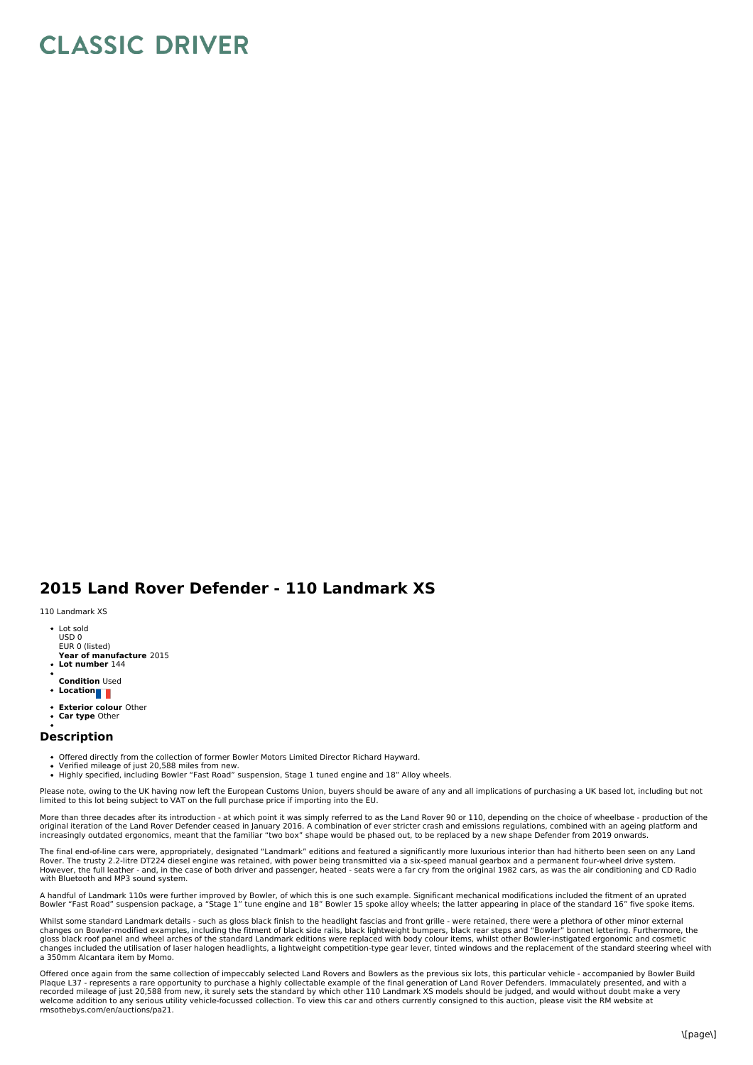## **CLASSIC DRIVER**

## **2015 Land Rover Defender - 110 Landmark XS**

110 Landmark XS

- Lot sold USD 0 EUR 0 (listed)
- **Year of manufacture** 2015 **Lot number** 144
- 
- **Condition** Used
- **Location**
- **Exterior colour** Other **Car type** Other

## **Description**

- Offered directly from the collection of former Bowler Motors Limited Director Richard Hayward.
- 
- Verified mileage of just 20,588 miles from new.<br>Highly specified, including Bowler "Fast Road" suspension, Stage 1 tuned engine and 18" Alloy wheels.

Please note, owing to the UK having now left the European Customs Union, buyers should be aware of any and all implications of purchasing a UK based lot, including but not<br>limited to this lot being subject to VAT on the fu

More than three decades after its introduction - at which point it was simply referred to as the Land Rover 90 or 110, depending on the choice of wheelbase - production of the<br>original iteration of the Land Rover Defender increasingly outdated ergonomics, meant that the familiar "two box" shape would be phased out, to be replaced by a new shape Defender from 2019 onwards.

The final end-of-line cars were, appropriately, designated "Landmark" editions and featured a significantly more luxurious interior than had hitherto been seen on any Land Rover. The trusty 2.2-litre DT224 diesel engine was retained, with power being transmitted via a six-speed manual gearbox and a permanent four-wheel drive system.<br>However, the full leather - and, in the case of both driver with Bluetooth and MP3 sound system.

A handful of Landmark 110s were further improved by Bowler, of which this is one such example. Significant mechanical modifications included the fitment of an uprated Bowler "Fast Road" suspension package, a "Stage 1" tune engine and 18" Bowler 15 spoke alloy wheels; the latter appearing in place of the standard 16" five spoke items.

Whilst some standard Landmark details - such as gloss black finish to the headlight fascias and front grille - were retained, there were a plethora of other minor external<br>changes on Bowler-modified examples, including the changes included the utilisation of laser halogen headlights, a lightweight competition-type gear lever, tinted windows and the replacement of the standard steering wheel with a 350mm Alcantara item by Momo.

Offered once again from the same collection of impeccably selected Land Rovers and Bowlers as the previous six lots, this particular vehicle - accompanied by Bowler Build Plaque L37 - represents a rare opportunity to purchase a highly collectable example of the final generation of Land Rover Defenders. Immaculately presented, and with a recorded mileage of just 20,588 from new, it surely sets the standard by which other 110 Landmark XS models should be judged, and would without doubt make a very welcome addition to any serious utility vehicle-focussed collection. To view this car and others currently consigned to this auction, please visit the RM website at rmsothebys.com/en/auctions/pa21.